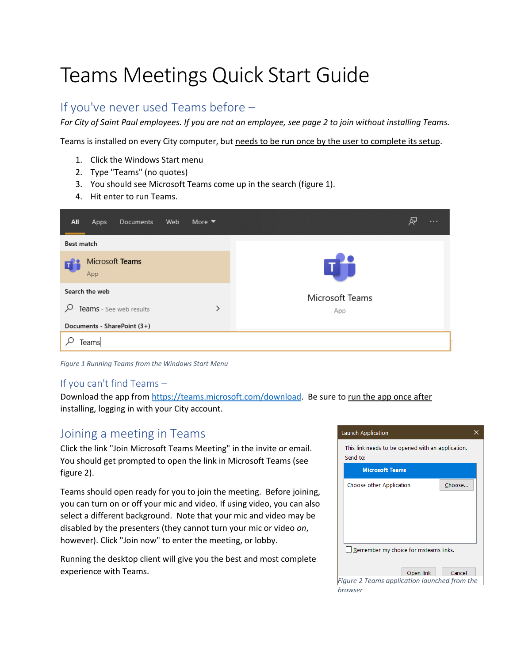# Teams Meetings Quick Start Guide

### If you've never used Teams before –

*For City of Saint Paul employees. If you are not an employee, see page 2 to join without installing Teams.*

Teams is installed on every City computer, but needs to be run once by the user to complete its setup.

- 1. Click the Windows Start menu
- 2. Type "Teams" (no quotes)
- 3. You should see Microsoft Teams come up in the search (figure 1).
- 4. Hit enter to run Teams.

| All                          | <b>Apps</b> | <b>Documents</b> | Web | More $\blacktriangledown$ | $\cdots$        |
|------------------------------|-------------|------------------|-----|---------------------------|-----------------|
| Best match                   |             |                  |     |                           |                 |
| Microsoft Teams<br>App       |             |                  |     |                           |                 |
| Search the web               |             |                  |     |                           | Microsoft Teams |
| ρ<br>Teams - See web results |             |                  |     | ≻                         | App             |
| Documents - SharePoint (3+)  |             |                  |     |                           |                 |
| Teams                        |             |                  |     |                           |                 |

*Figure 1 Running Teams from the Windows Start Menu*

#### If you can't find Teams –

Download the app from [https://teams.microsoft.com/download.](https://teams.microsoft.com/download) Be sure to run the app once after installing, logging in with your City account.

#### Joining a meeting in Teams

Click the link "Join Microsoft Teams Meeting" in the invite or email. You should get prompted to open the link in Microsoft Teams (see figure 2).

Teams should open ready for you to join the meeting. Before joining, you can turn on or off your mic and video. If using video, you can also select a different background. Note that your mic and video may be disabled by the presenters (they cannot turn your mic or video *on*, however). Click "Join now" to enter the meeting, or lobby.

Running the desktop client will give you the best and most complete experience with Teams.

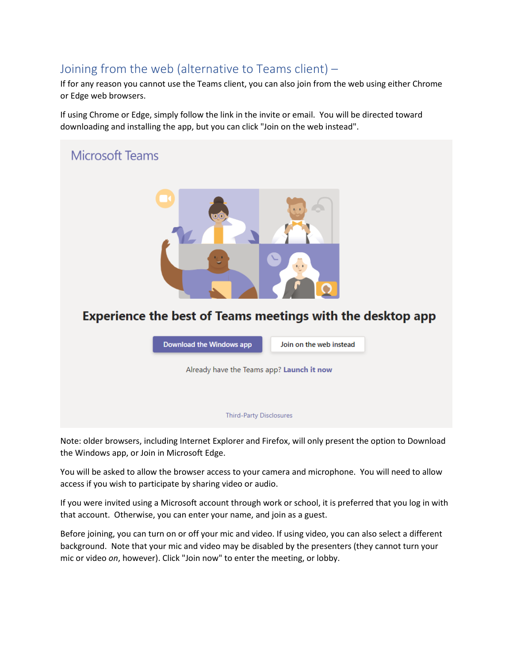## Joining from the web (alternative to Teams client) –

If for any reason you cannot use the Teams client, you can also join from the web using either Chrome or Edge web browsers.

If using Chrome or Edge, simply follow the link in the invite or email. You will be directed toward downloading and installing the app, but you can click "Join on the web instead".



Note: older browsers, including Internet Explorer and Firefox, will only present the option to Download the Windows app, or Join in Microsoft Edge.

You will be asked to allow the browser access to your camera and microphone. You will need to allow access if you wish to participate by sharing video or audio.

If you were invited using a Microsoft account through work or school, it is preferred that you log in with that account. Otherwise, you can enter your name, and join as a guest.

Before joining, you can turn on or off your mic and video. If using video, you can also select a different background. Note that your mic and video may be disabled by the presenters (they cannot turn your mic or video *on*, however). Click "Join now" to enter the meeting, or lobby.